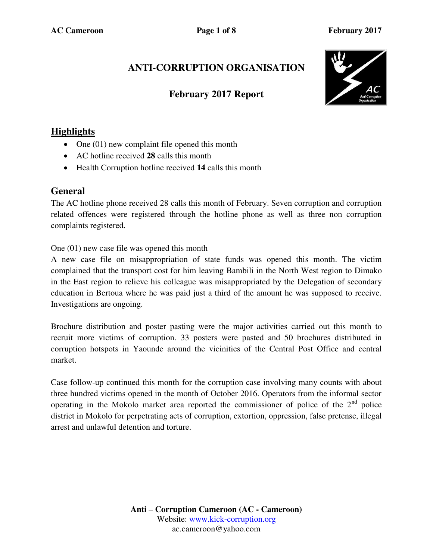# **ANTI-CORRUPTION ORGANISATION**

### **February 2017 Report**



## **Highlights**

- $\bullet$  One (01) new complaint file opened this month
- AC hotline received **28** calls this month
- Health Corruption hotline received **14** calls this month

#### **General**

The AC hotline phone received 28 calls this month of February. Seven corruption and corruption related offences were registered through the hotline phone as well as three non corruption complaints registered.

One (01) new case file was opened this month

A new case file on misappropriation of state funds was opened this month. The victim complained that the transport cost for him leaving Bambili in the North West region to Dimako in the East region to relieve his colleague was misappropriated by the Delegation of secondary education in Bertoua where he was paid just a third of the amount he was supposed to receive. Investigations are ongoing.

Brochure distribution and poster pasting were the major activities carried out this month to recruit more victims of corruption. 33 posters were pasted and 50 brochures distributed in corruption hotspots in Yaounde around the vicinities of the Central Post Office and central market.

Case follow-up continued this month for the corruption case involving many counts with about three hundred victims opened in the month of October 2016. Operators from the informal sector operating in the Mokolo market area reported the commissioner of police of the  $2<sup>nd</sup>$  police district in Mokolo for perpetrating acts of corruption, extortion, oppression, false pretense, illegal arrest and unlawful detention and torture.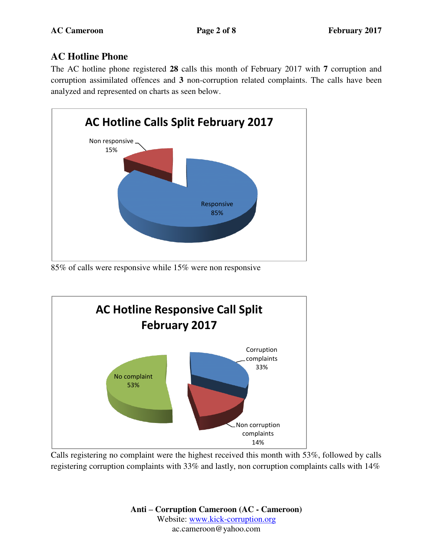## **AC Hotline Phone**

The AC hotline phone registered **28** calls this month of February 2017 with **7** corruption and corruption assimilated offences and **3** non-corruption related complaints. The calls have been analyzed and represented on charts as seen below.



85% of calls were responsive while 15% were non responsive



Calls registering no complaint were the highest received this month with 53%, followed by calls registering corruption complaints with 33% and lastly, non corruption complaints calls with 14%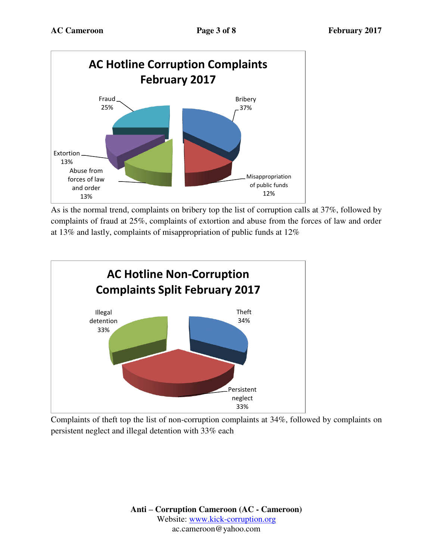

As is the normal trend, complaints on bribery top the list of corruption calls at 37%, followed by complaints of fraud at 25%, complaints of extortion and abuse from the forces of law and order at 13% and lastly, complaints of misappropriation of public funds at 12%



Complaints of theft top the list of non-corruption complaints at 34%, followed by complaints on persistent neglect and illegal detention with 33% each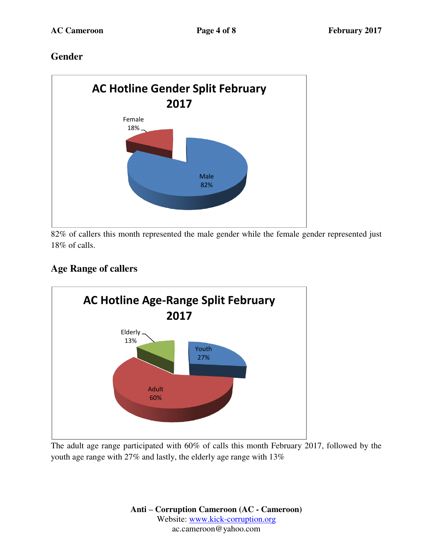## **Gender**



82% of callers this month represented the male gender while the female gender represented just 18% of calls.

# **Age Range of callers**



The adult age range participated with 60% of calls this month February 2017, followed by the youth age range with 27% and lastly, the elderly age range with 13%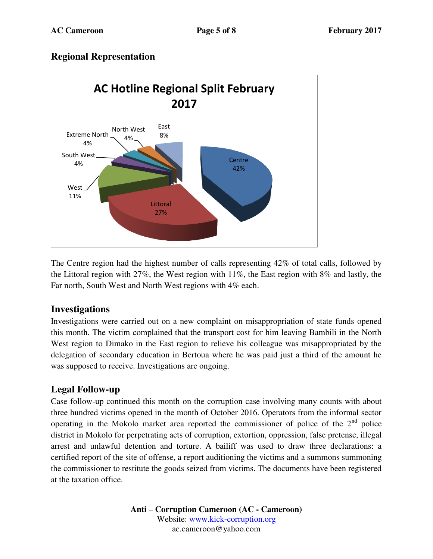### **Regional Representation**



The Centre region had the highest number of calls representing 42% of total calls, followed by the Littoral region with 27%, the West region with 11%, the East region with 8% and lastly, the Far north, South West and North West regions with 4% each.

#### **Investigations**

Investigations were carried out on a new complaint on misappropriation of state funds opened this month. The victim complained that the transport cost for him leaving Bambili in the North West region to Dimako in the East region to relieve his colleague was misappropriated by the delegation of secondary education in Bertoua where he was paid just a third of the amount he was supposed to receive. Investigations are ongoing.

## **Legal Follow-up**

Case follow-up continued this month on the corruption case involving many counts with about three hundred victims opened in the month of October 2016. Operators from the informal sector operating in the Mokolo market area reported the commissioner of police of the  $2<sup>nd</sup>$  police district in Mokolo for perpetrating acts of corruption, extortion, oppression, false pretense, illegal arrest and unlawful detention and torture. A bailiff was used to draw three declarations: a certified report of the site of offense, a report auditioning the victims and a summons summoning the commissioner to restitute the goods seized from victims. The documents have been registered at the taxation office.

> **Anti – Corruption Cameroon (AC - Cameroon)** Website: [www.kick-corruption.org](http://www.kick-corruption.org/) ac.cameroon@yahoo.com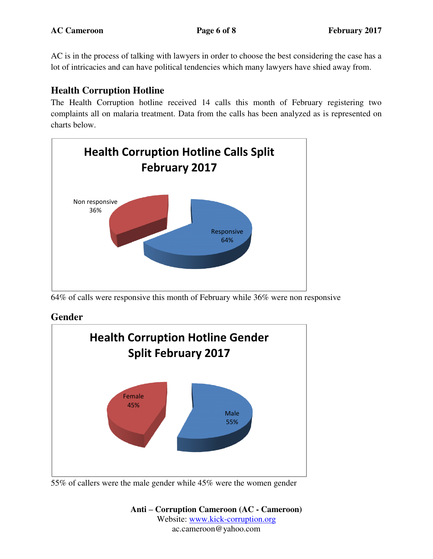AC is in the process of talking with lawyers in order to choose the best considering the case has a lot of intricacies and can have political tendencies which many lawyers have shied away from.

## **Health Corruption Hotline**

The Health Corruption hotline received 14 calls this month of February registering two complaints all on malaria treatment. Data from the calls has been analyzed as is represented on charts below.



<sup>64%</sup> of calls were responsive this month of February while 36% were non responsive

## **Gender**



<sup>55%</sup> of callers were the male gender while 45% were the women gender

**Anti – Corruption Cameroon (AC - Cameroon)** Website: [www.kick-corruption.org](http://www.kick-corruption.org/) ac.cameroon@yahoo.com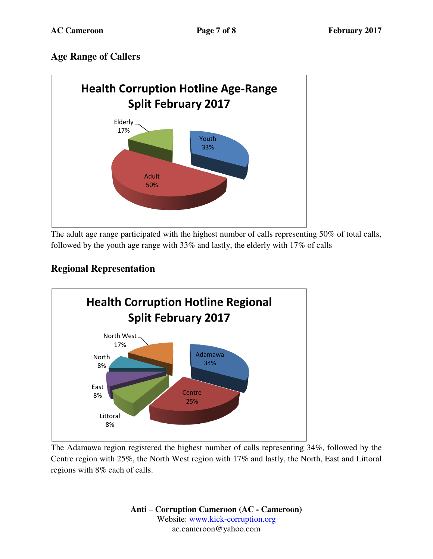## **Age Range of Callers**



The adult age range participated with the highest number of calls representing 50% of total calls, followed by the youth age range with 33% and lastly, the elderly with 17% of calls

## **Regional Representation**



The Adamawa region registered the highest number of calls representing 34%, followed by the Centre region with 25%, the North West region with 17% and lastly, the North, East and Littoral regions with 8% each of calls.

> **Anti – Corruption Cameroon (AC - Cameroon)** Website: [www.kick-corruption.org](http://www.kick-corruption.org/) ac.cameroon@yahoo.com